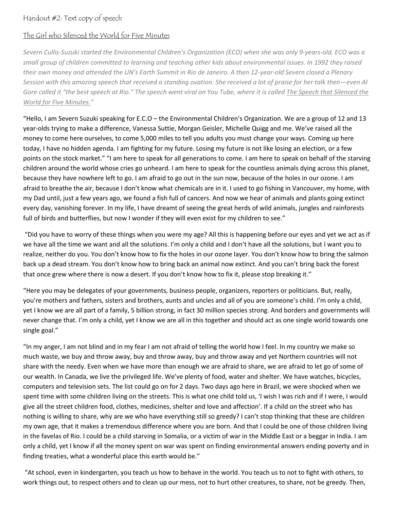### Handout #2: Text copy of speech

## The Girl who Silenced the World for Five Minutes

*Severn Cullis-Suzuki started the Environmental Children's Organization (ECO) when she was only 9-years-old. ECO was a small group of children committed to learning and teaching other kids about environmental issues. In 1992 they raised their own money and attended the UN's Earth Summit in Rio de Janeiro. A then 12-year-old Severn closed a Plenary Session with this amazing speech that received a standing ovation. She received a lot of praise for her talk then—even Al*  Gore called it "the best speech at Rio." The speech went viral on You Tube, where it is called *The Speech that Silenced the World for Five Minutes."*

"Hello, I am Severn Suzuki speaking for E.C.O – the Environmental Children's Organization. We are a group of 12 and 13 year-olds trying to make a difference, Vanessa Suttie, Morgan Geisler, Michelle Quigg and me. We've raised all the money to come here ourselves, to come 5,000 miles to tell you adults you must change your ways. Coming up here today, I have no hidden agenda. I am fighting for my future. Losing my future is not like losing an election, or a few points on the stock market." "I am here to speak for all generations to come. I am here to speak on behalf of the starving children around the world whose cries go unheard. I am here to speak for the countless animals dying across this planet, because they have nowhere left to go. I am afraid to go out in the sun now, because of the holes in our ozone. I am afraid to breathe the air, because I don't know what chemicals are in it. I used to go fishing in Vancouver, my home, with my Dad until, just a few years ago, we found a fish full of cancers. And now we hear of animals and plants going extinct every day, vanishing forever. In my life, I have dreamt of seeing the great herds of wild animals, jungles and rainforests full of birds and butterflies, but now I wonder if they will even exist for my children to see."

"Did you have to worry of these things when you were my age? All this is happening before our eyes and yet we act as if we have all the time we want and all the solutions. I'm only a child and I don't have all the solutions, but I want you to realize, neither do you. You don't know how to fix the holes in our ozone layer. You don't know how to bring the salmon back up a dead stream. You don't know how to bring back an animal now extinct. And you can't bring back the forest that once grew where there is now a desert. If you don't know how to fix it, please stop breaking it."

"Here you may be delegates of your governments, business people, organizers, reporters or politicians. But, really, you're mothers and fathers, sisters and brothers, aunts and uncles and all of you are someone's child. I'm only a child, yet I know we are all part of a family, 5 billion strong, in fact 30 million species strong. And borders and governments will never change that. I'm only a child, yet I know we are all in this together and should act as one single world towards one single goal."

"In my anger, I am not blind and in my fear I am not afraid of telling the world how I feel. In my country we make so much waste, we buy and throw away, buy and throw away, buy and throw away and yet Northern countries will not share with the needy. Even when we have more than enough we are afraid to share, we are afraid to let go of some of our wealth. In Canada, we live the privileged life. We've plenty of food, water and shelter. We have watches, bicycles, computers and television sets. The list could go on for 2 days. Two days ago here in Brazil, we were shocked when we spent time with some children living on the streets. This is what one child told us, 'I wish I was rich and if I were, I would give all the street children food, clothes, medicines, shelter and love and affection'. If a child on the street who has nothing is willing to share, why are we who have everything still so greedy? I can't stop thinking that these are children my own age, that it makes a tremendous difference where you are born. And that I could be one of those children living in the favelas of Rio. I could be a child starving in Somalia, or a victim of war in the Middle East or a beggar in India. I am only a child, yet I know if all the money spent on war was spent on finding environmental answers ending poverty and in finding treaties, what a wonderful place this earth would be."

"At school, even in kindergarten, you teach us how to behave in the world. You teach us to not to fight with others, to work things out, to respect others and to clean up our mess, not to hurt other creatures, to share, not be greedy. Then,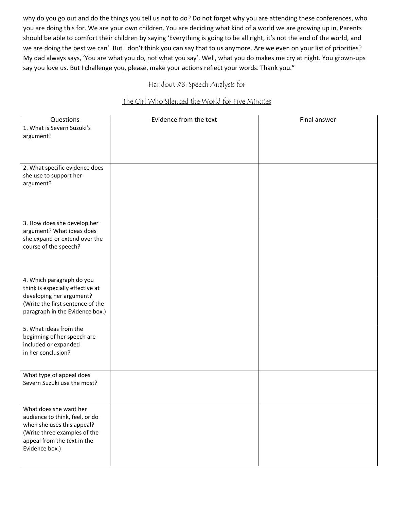why do you go out and do the things you tell us not to do? Do not forget why you are attending these conferences, who you are doing this for. We are your own children. You are deciding what kind of a world we are growing up in. Parents should be able to comfort their children by saying 'Everything is going to be all right, it's not the end of the world, and we are doing the best we can'. But I don't think you can say that to us anymore. Are we even on your list of priorities? My dad always says, 'You are what you do, not what you say'. Well, what you do makes me cry at night. You grown-ups say you love us. But I challenge you, please, make your actions reflect your words. Thank you."

#### Handout #3: Speech Analysis for

# The Girl Who Silenced the World for Five Minutes

| Questions                                                                                                                                                               | Evidence from the text | Final answer |
|-------------------------------------------------------------------------------------------------------------------------------------------------------------------------|------------------------|--------------|
| 1. What is Severn Suzuki's<br>argument?                                                                                                                                 |                        |              |
| 2. What specific evidence does<br>she use to support her<br>argument?                                                                                                   |                        |              |
| 3. How does she develop her<br>argument? What ideas does<br>she expand or extend over the<br>course of the speech?                                                      |                        |              |
| 4. Which paragraph do you<br>think is especially effective at<br>developing her argument?<br>(Write the first sentence of the<br>paragraph in the Evidence box.)        |                        |              |
| 5. What ideas from the<br>beginning of her speech are<br>included or expanded<br>in her conclusion?                                                                     |                        |              |
| What type of appeal does<br>Severn Suzuki use the most?                                                                                                                 |                        |              |
| What does she want her<br>audience to think, feel, or do<br>when she uses this appeal?<br>(Write three examples of the<br>appeal from the text in the<br>Evidence box.) |                        |              |